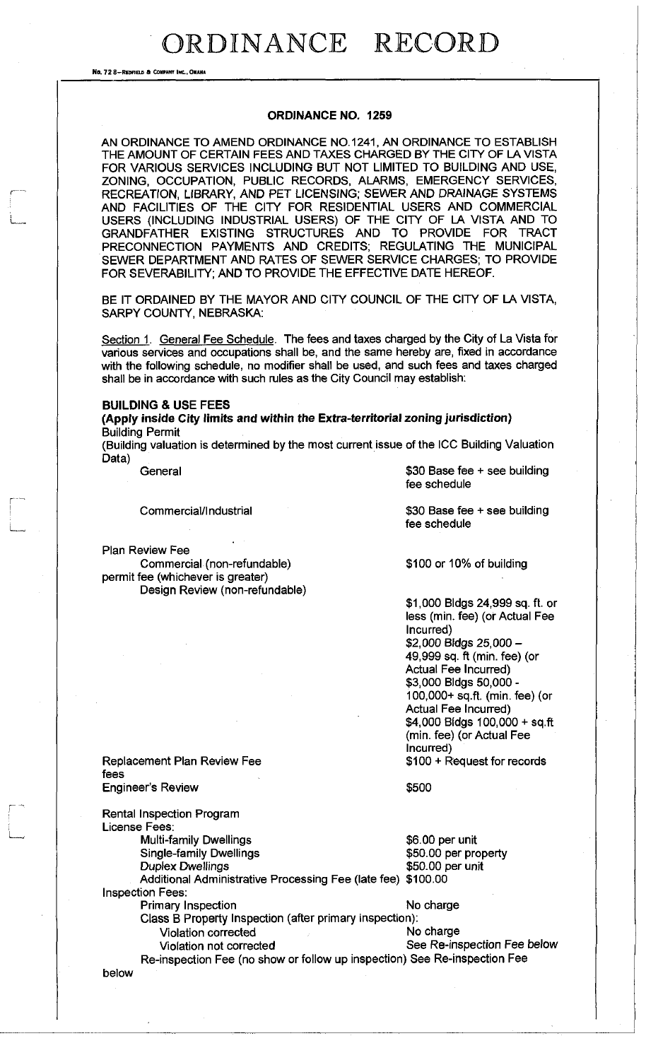No. 72 8-REDFIELD & COMPANY INC., OMAHA

#### **ORDINANCE NO. 1259**

AN ORDINANCE TO AMEND ORDINANCE NO. 1241, AN ORDINANCE TO ESTABLISH THE AMOUNT OF CERTAIN FEES AND TAXES CHARGED BY THE CITY OF LA VISTA FOR VARIOUS SERVICES INCLUDING BUT NOT LIMITED TO BUILDING AND USE, ZONING, OCCUPATION, PUBLIC RECORDS, ALARMS, EMERGENCY SERVICES, RECREATION, LIBRARY, AND PET LICENSING; SEWER AND DRAINAGE SYSTEMS AND FACILITIES OF THE CITY FOR RESIDENTIAL USERS AND COMMERCIAL USERS (INCLUDING INDUSTRIAL USERS) OF THE CITY OF LA VISTA AND TO GRANDFATHER EXISTING STRUCTURES AND TO PROVIDE FOR TRACT PRECONNECTION PAYMENTS AND CREDITS; REGULATING THE MUNICIPAL SEWER DEPARTMENT AND RATES OF SEWER SERVICE CHARGES; TO PROVIDE FOR SEVERABILITY; AND TO PROVIDE THE EFFECTIVE DATE HEREOF.

BE IT ORDAINED BY THE MAYOR AND CITY COUNCIL OF THE CITY OF LA VISTA, SARPY COUNTY, NEBRASKA:

Section 1. General Fee Schedule. The fees and taxes charged by the City of La Vista for various services and occupations shall be, and the same hereby are, fixed in accordance with the following schedule, no modifier shall be used, and such fees and taxes charged shall be in accordance with such rules as the City Council may establish:

#### **BUILDING & USE FEES**

**(Apply inside City limits and within the Extra-territorial zoning jurisdiction)**  Building Permit

(Building valuation is determined by the most current issue of the ICC Building Valuation Data)

Plan Review Fee

Commercial (non-refundable) permit fee (whichever is greater) Design Review (non-refundable)

General \$30 Base fee + see building fee schedule

Commercial/Industrial 600 Commercial/Industrial 530 Base fee + see building fee schedule

\$100 or 10% of building

\$1,000 Bldgs 24,999 sq. ft. or less (min. fee) (or Actual Fee Incurred) \$2,000 Bldgs 25,000 -49,999 sq. ft (min. fee) (or Actual Fee Incurred) \$3,000 Bldgs 50,000 - 100,000+ sq.ft. (min. fee) (or Actual Fee Incurred) \$4,000 Bldgs 100,000 + sq.ft (min. fee) (or Actual Fee Incurred) \$100 + Request for records

Replacement Plan Review Fee fees Engineer's Review

\$500

Rental Inspection Program License Fees: Multi-family Dwellings **\$6.00 per unit** Single-family Dwellings  $$50.00$  per property Duplex Dwellings **\$50.00 per unit** Additional Administrative Processing Fee (late fee) \$100.00 Inspection Fees: Primary Inspection No charge Class B Property Inspection (after primary inspection): Violation corrected No charge Violation not corrected See Re-inspection Fee below Re-inspection Fee (no show or follow up inspection) See Re-inspection Fee

below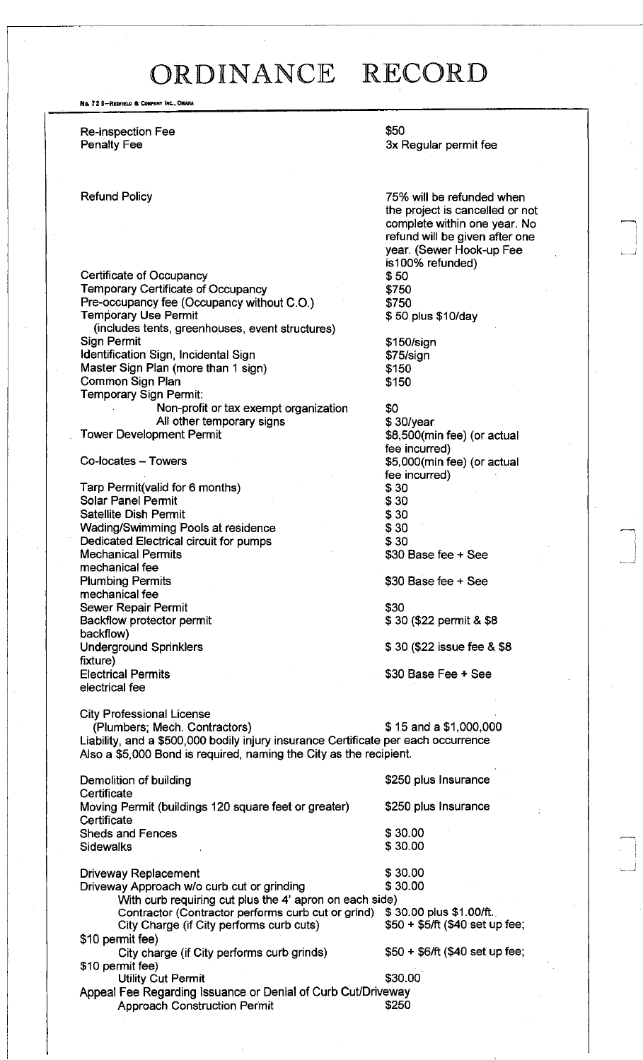No. 72 8-REDFIELD & COMPANY INC., OMAHA

Re-inspection Fee Penalty Fee

Refund Policy

Certificate of Occupancy Temporary Certificate of Occupancy Pre-occupancy fee (Occupancy without C.O.) Temporary Use Permit (includes tents, greenhouses, event structures) Sign Permit Identification Sign, Incidental Sign Master Sign Plan (more than 1 sign) Common Sign Plan Temporary Sign Permit: Non-profit or tax exempt organization

All other temporary signs Tower Development Permit

Co-locates - Towers

Tarp Permit(valid for 6 months) Solar Panel Permit Satellite Dish Permit Wading/Swimming Pools at residence Dedicated Electrical circuit for pumps Mechanical Permits mechanical fee Plumbing Permits mechanical fee Sewer Repair Permit Backflow protector permit backflow) Underground Sprinklers fixture) Electrical Permits electrical fee

\$50 3x Regular permit fee

75% will be refunded when the project is cancelled or not complete within one year. No refund will be given after one year. (Sewer Hook-up Fee is 100% refunded) \$50 \$750 \$750 \$ 50 plus \$10/day

\$150/sign \$75/sign \$150 \$150

\$0 \$ 30/year \$8,500(min fee) (or actual fee incurred) \$5,000(min fee) (or actual fee incurred) \$30 \$30 \$30 \$30 \$30 \$30 Base fee + See \$30 Base fee + See \$30

\$ 30 (\$22 permit & \$8

\$ 30 (\$22 issue fee & \$8

\$30 Base Fee + See

City Professional License (Plumbers; Mech. Contractors) \$ 15 and a \$1,000,000 Liability, and a \$500,000 bodily injury insurance Certificate per each occurrence Also a \$5,000 Bond is required, naming the City as the recipient.

Demolition of building **Certificate** Moving Permit (buildings 120 square feet or greater) **Certificate** Sheds and Fences **Sidewalks** \$250 plus Insurance \$250 plus Insurance \$ 30.00 \$ 30.00 Driveway Replacement \$ 30.00 Driveway Approach w/o curb cut or grinding \$ 30.00 With curb requiring cut plus the 4' apron on each side) Contractor (Contractor performs curb cut or grind) \$30.00 plus \$1.00/ft. City Charge (if City performs curb cuts) \$50 + \$5/ft (\$40 set up fee; \$10 permit fee) City charge (if City performs curb grinds) \$50 + \$6/ft (\$40 set up fee; \$10 permit fee) Utility Cut Permit **\$30.00** Appeal Fee Regarding Issuance or Denial of Curb Cut/Driveway Approach Construction Permit **\$250**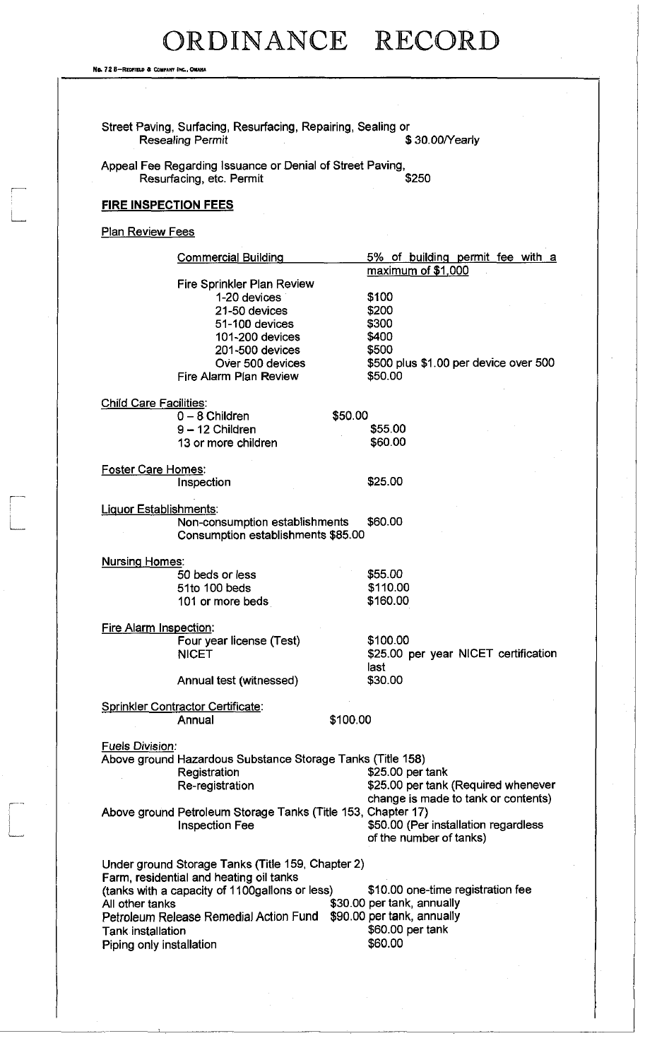No. 72 8-REDFIELD & COMPANY INC., ON

Street Paving, Surfacing, Resurfacing, Repairing, Sealing or<br>Resealing Permit \$30.00/Yearly Resealing Permit

Appeal Fee Regarding Issuance or Denial of Street Paving, Resurfacing, etc. Permit **Example 3250** 

### **FIRE INSPECTION FEES**

**Plan Review Fees** 

|                               | <b>Commercial Building</b>                                   |          | 5% of building permit fee with a      |
|-------------------------------|--------------------------------------------------------------|----------|---------------------------------------|
|                               |                                                              |          | maximum of \$1,000                    |
|                               | <b>Fire Sprinkler Plan Review</b>                            |          |                                       |
|                               | 1-20 devices                                                 |          | \$100                                 |
|                               | 21-50 devices                                                |          | \$200                                 |
|                               | 51-100 devices                                               |          | \$300                                 |
|                               | 101-200 devices                                              |          | \$400                                 |
|                               | 201-500 devices                                              |          | \$500                                 |
|                               | Over 500 devices                                             |          | \$500 plus \$1.00 per device over 500 |
|                               | Fire Alarm Plan Review                                       |          | \$50.00                               |
|                               |                                                              |          |                                       |
| <b>Child Care Facilities:</b> |                                                              |          |                                       |
|                               | $0 - 8$ Children                                             | \$50.00  |                                       |
|                               | 9-12 Children                                                |          | \$55.00                               |
|                               | 13 or more children                                          |          | \$60.00                               |
|                               |                                                              |          |                                       |
|                               |                                                              |          |                                       |
| <b>Foster Care Homes:</b>     |                                                              |          |                                       |
|                               | Inspection                                                   |          | \$25.00                               |
|                               |                                                              |          |                                       |
| Liquor Establishments:        |                                                              |          |                                       |
|                               | Non-consumption establishments                               |          | \$60.00                               |
|                               | Consumption establishments \$85.00                           |          |                                       |
|                               |                                                              |          |                                       |
| <b>Nursing Homes:</b>         |                                                              |          |                                       |
|                               | 50 beds or less                                              |          | \$55.00                               |
|                               | 51to 100 beds                                                |          | \$110.00                              |
|                               | 101 or more beds                                             |          | \$160.00                              |
|                               |                                                              |          |                                       |
| Fire Alarm Inspection:        |                                                              |          |                                       |
|                               | Four year license (Test)                                     |          | \$100.00                              |
|                               | <b>NICET</b>                                                 |          | \$25.00 per year NICET certification  |
|                               |                                                              |          | last                                  |
|                               | Annual test (witnessed)                                      |          | \$30.00                               |
|                               |                                                              |          |                                       |
|                               | <b>Sprinkler Contractor Certificate:</b>                     |          |                                       |
|                               | Annual                                                       | \$100.00 |                                       |
|                               |                                                              |          |                                       |
| <b>Fuels Division:</b>        |                                                              |          |                                       |
|                               | Above ground Hazardous Substance Storage Tanks (Title 158)   |          |                                       |
|                               |                                                              |          |                                       |
|                               | Registration                                                 |          | \$25.00 per tank                      |
|                               | Re-registration                                              |          | \$25.00 per tank (Required whenever   |
|                               |                                                              |          | change is made to tank or contents)   |
|                               | Above ground Petroleum Storage Tanks (Title 153, Chapter 17) |          |                                       |
|                               | <b>Inspection Fee</b>                                        |          | \$50.00 (Per installation regardless  |
|                               |                                                              |          | of the number of tanks)               |
|                               |                                                              |          |                                       |
|                               | Under ground Storage Tanks (Title 159, Chapter 2)            |          |                                       |
|                               | Farm, residential and heating oil tanks                      |          |                                       |
|                               | (tanks with a capacity of 1100gallons or less)               |          | \$10.00 one-time registration fee     |
| All other tanks               |                                                              |          | \$30.00 per tank, annually            |
|                               | Petroleum Release Remedial Action Fund                       |          | \$90.00 per tank, annually            |
| <b>Tank installation</b>      |                                                              |          | \$60.00 per tank                      |
| Piping only installation      |                                                              |          | \$60.00                               |
|                               |                                                              |          |                                       |
|                               |                                                              |          |                                       |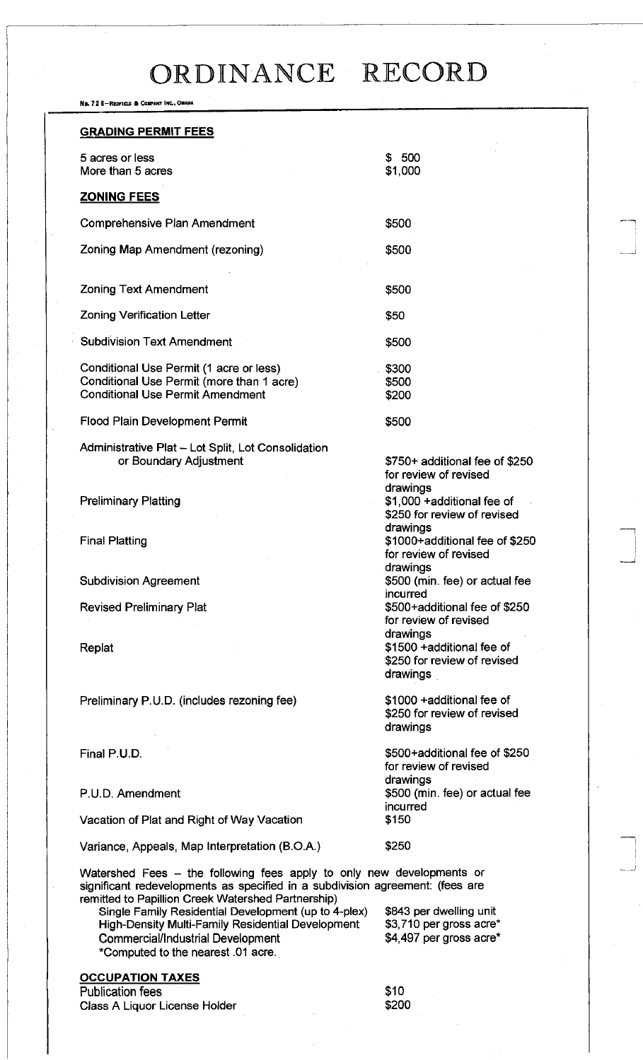No. 72 8-REDFIELD & COBPANY INC., OMAHA

| <b>GRADING PERMIT FEES</b>                                                                                                                                                                                                                                                                                                                                                                                  |                                                                                   |
|-------------------------------------------------------------------------------------------------------------------------------------------------------------------------------------------------------------------------------------------------------------------------------------------------------------------------------------------------------------------------------------------------------------|-----------------------------------------------------------------------------------|
| 5 acres or less<br>More than 5 acres                                                                                                                                                                                                                                                                                                                                                                        | \$500<br>\$1,000                                                                  |
| <b>ZONING FEES</b>                                                                                                                                                                                                                                                                                                                                                                                          |                                                                                   |
| Comprehensive Plan Amendment                                                                                                                                                                                                                                                                                                                                                                                | \$500                                                                             |
| Zoning Map Amendment (rezoning)                                                                                                                                                                                                                                                                                                                                                                             | \$500                                                                             |
| <b>Zoning Text Amendment</b>                                                                                                                                                                                                                                                                                                                                                                                | \$500                                                                             |
| <b>Zoning Verification Letter</b>                                                                                                                                                                                                                                                                                                                                                                           | \$50                                                                              |
| <b>Subdivision Text Amendment</b>                                                                                                                                                                                                                                                                                                                                                                           | \$500                                                                             |
| Conditional Use Permit (1 acre or less)<br>Conditional Use Permit (more than 1 acre)<br><b>Conditional Use Permit Amendment</b>                                                                                                                                                                                                                                                                             | \$300<br>\$500<br>\$200                                                           |
| <b>Flood Plain Development Permit</b>                                                                                                                                                                                                                                                                                                                                                                       | \$500                                                                             |
| Administrative Plat - Lot Split, Lot Consolidation<br>or Boundary Adjustment                                                                                                                                                                                                                                                                                                                                | \$750+ additional fee of \$250<br>for review of revised                           |
| <b>Preliminary Platting</b>                                                                                                                                                                                                                                                                                                                                                                                 | drawings<br>\$1,000 +additional fee of<br>\$250 for review of revised             |
| <b>Final Platting</b>                                                                                                                                                                                                                                                                                                                                                                                       | drawings<br>\$1000+additional fee of \$250<br>for review of revised               |
| <b>Subdivision Agreement</b>                                                                                                                                                                                                                                                                                                                                                                                | drawings<br>\$500 (min. fee) or actual fee                                        |
| <b>Revised Preliminary Plat</b>                                                                                                                                                                                                                                                                                                                                                                             | incurred<br>\$500+additional fee of \$250<br>for review of revised                |
| Replat                                                                                                                                                                                                                                                                                                                                                                                                      | drawings<br>\$1500 + additional fee of<br>\$250 for review of revised<br>drawings |
| Preliminary P.U.D. (includes rezoning fee)                                                                                                                                                                                                                                                                                                                                                                  | \$1000 + additional fee of<br>\$250 for review of revised<br>drawings             |
| Final P.U.D.                                                                                                                                                                                                                                                                                                                                                                                                | \$500+additional fee of \$250<br>for review of revised                            |
| P.U.D. Amendment                                                                                                                                                                                                                                                                                                                                                                                            | drawings<br>\$500 (min. fee) or actual fee                                        |
| Vacation of Plat and Right of Way Vacation                                                                                                                                                                                                                                                                                                                                                                  | incurred<br>\$150                                                                 |
| Variance, Appeals, Map Interpretation (B.O.A.)                                                                                                                                                                                                                                                                                                                                                              | \$250                                                                             |
| Watershed Fees - the following fees apply to only new developments or<br>significant redevelopments as specified in a subdivision agreement: (fees are<br>remitted to Papillion Creek Watershed Partnership)<br>Single Family Residential Development (up to 4-plex)<br>High-Density Multi-Family Residential Development<br><b>Commercial/Industrial Development</b><br>*Computed to the nearest .01 acre. | \$843 per dwelling unit<br>\$3,710 per gross acre*<br>\$4,497 per gross acre*     |

### **OCCUPATION TAXES**

Publication fees Class A Liquor License Holder \$10 \$200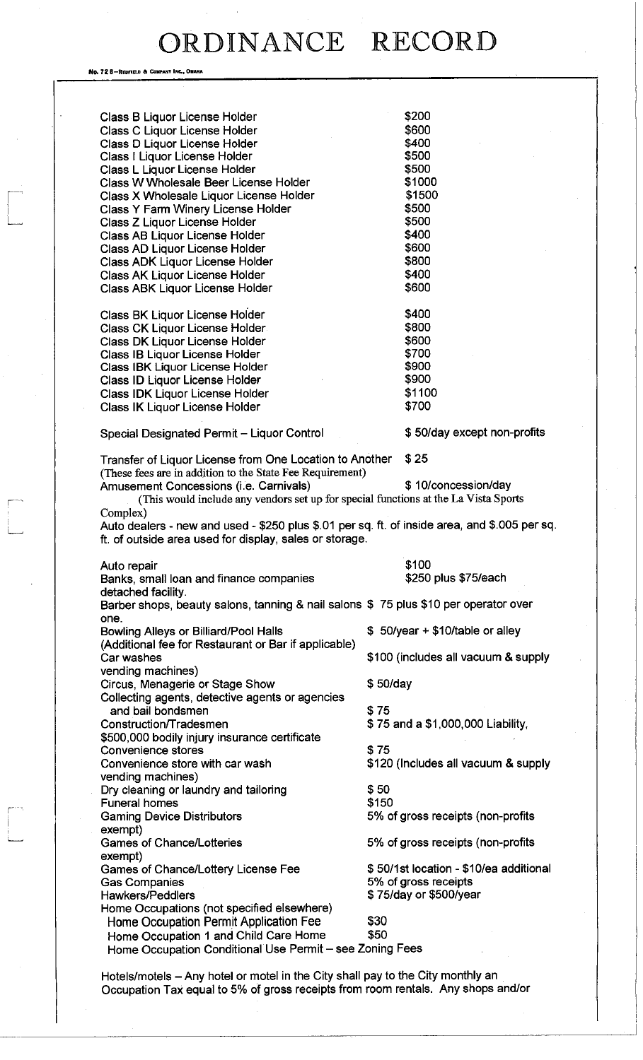No. 72 8-REDFIELD & CONFANT INC., OMAHA

 $\begin{bmatrix} 1 & 1 \\ 1 & 1 \\ 1 & 1 \end{bmatrix}$ 

| Class B Liquor License Holder                                                                     | \$200                                  |
|---------------------------------------------------------------------------------------------------|----------------------------------------|
| Class C Liquor License Holder                                                                     | \$600                                  |
| Class D Liquor License Holder                                                                     | \$400                                  |
| Class I Liquor License Holder                                                                     | \$500                                  |
| Class L Liquor License Holder                                                                     | \$500                                  |
|                                                                                                   |                                        |
| Class W Wholesale Beer License Holder                                                             | \$1000                                 |
| Class X Wholesale Liquor License Holder                                                           | \$1500                                 |
| <b>Class Y Farm Winery License Holder</b>                                                         | \$500                                  |
| Class Z Liquor License Holder                                                                     | \$500                                  |
| Class AB Liquor License Holder                                                                    | \$400                                  |
| Class AD Liquor License Holder                                                                    | \$600                                  |
| Class ADK Liquor License Holder                                                                   | \$800                                  |
| Class AK Liquor License Holder                                                                    | \$400                                  |
| <b>Class ABK Liquor License Holder</b>                                                            | \$600                                  |
|                                                                                                   |                                        |
|                                                                                                   |                                        |
| Class BK Liquor License Holder                                                                    | \$400                                  |
| Class CK Liquor License Holder                                                                    | \$800                                  |
| Class DK Liquor License Holder                                                                    | \$600                                  |
| Class IB Liquor License Holder                                                                    | \$700                                  |
| Class IBK Liquor License Holder                                                                   | \$900                                  |
| Class ID Liquor License Holder                                                                    | \$900                                  |
| Class IDK Liquor License Holder                                                                   | \$1100                                 |
| <b>Class IK Liquor License Holder</b>                                                             | \$700                                  |
|                                                                                                   |                                        |
|                                                                                                   | \$50/day except non-profits            |
| Special Designated Permit - Liquor Control                                                        |                                        |
|                                                                                                   |                                        |
| Transfer of Liquor License from One Location to Another                                           | \$25                                   |
| (These fees are in addition to the State Fee Requirement)                                         |                                        |
| Amusement Concessions (i.e. Carnivals)                                                            | \$10/concession/day                    |
| (This would include any vendors set up for special functions at the La Vista Sports               |                                        |
| Complex)                                                                                          |                                        |
|                                                                                                   |                                        |
|                                                                                                   |                                        |
| Auto dealers - new and used - \$250 plus \$.01 per sq. ft. of inside area, and \$.005 per sq.     |                                        |
| ft. of outside area used for display, sales or storage.                                           |                                        |
|                                                                                                   |                                        |
| Auto repair                                                                                       | \$100                                  |
| Banks, small loan and finance companies                                                           | \$250 plus \$75/each                   |
| detached facility.                                                                                |                                        |
| Barber shops, beauty salons, tanning & nail salons \$75 plus \$10 per operator over               |                                        |
| one.                                                                                              |                                        |
|                                                                                                   | \$50/year + \$10/table or alley        |
| Bowling Alleys or Billiard/Pool Halls                                                             |                                        |
| (Additional fee for Restaurant or Bar if applicable)                                              |                                        |
| Car washes                                                                                        | \$100 (includes all vacuum & supply    |
| vending machines)                                                                                 |                                        |
| Circus, Menagerie or Stage Show                                                                   | \$50/day                               |
| Collecting agents, detective agents or agencies                                                   |                                        |
| and bail bondsmen                                                                                 | \$75                                   |
| Construction/Tradesmen                                                                            | \$75 and a \$1,000,000 Liability,      |
| \$500,000 bodily injury insurance certificate                                                     |                                        |
| <b>Convenience stores</b>                                                                         | \$75                                   |
| Convenience store with car wash                                                                   | \$120 (Includes all vacuum & supply    |
|                                                                                                   |                                        |
| vending machines)                                                                                 |                                        |
| Dry cleaning or laundry and tailoring                                                             | \$50                                   |
| <b>Funeral homes</b>                                                                              | \$150                                  |
| <b>Gaming Device Distributors</b>                                                                 | 5% of gross receipts (non-profits      |
| exempt)                                                                                           |                                        |
| <b>Games of Chance/Lotteries</b>                                                                  | 5% of gross receipts (non-profits      |
| exempt)                                                                                           |                                        |
| Games of Chance/Lottery License Fee                                                               | \$50/1st location - \$10/ea additional |
| <b>Gas Companies</b>                                                                              | 5% of gross receipts                   |
| <b>Hawkers/Peddlers</b>                                                                           | \$75/day or \$500/year                 |
|                                                                                                   |                                        |
| Home Occupations (not specified elsewhere)                                                        |                                        |
| Home Occupation Permit Application Fee                                                            | \$30                                   |
| Home Occupation 1 and Child Care Home<br>Home Occupation Conditional Use Permit - see Zoning Fees | \$50                                   |

Hotels/motels - Any hotel or motel in the City shall pay to the City monthly an Occupation Tax equal to 5% of gross receipts from room rentals. Any shops and/or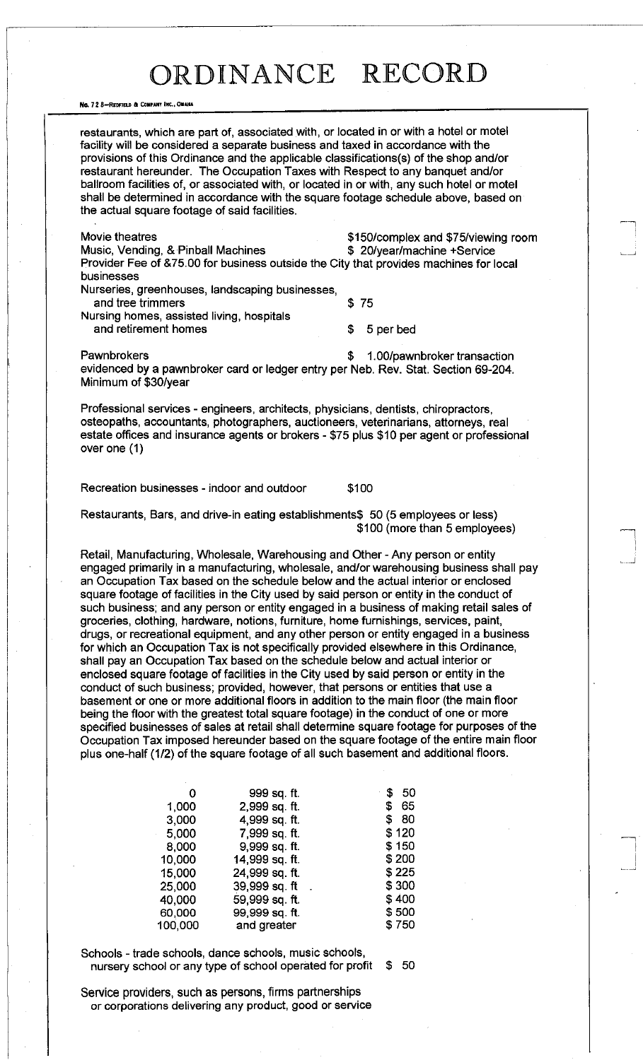No. 72 8-REDFIELD & COMPANY INC., OMAHA

restaurants, which are part of, associated with, or located in or with a hotel or motel facility will be considered a separate business and taxed in accordance with the provisions of this Ordinance and the applicable classifications(s) of the shop and/or restaurant hereunder. The Occupation Taxes with Respect to any banquet and/or ballroom facilities of, or associated with, or located in or with, any such hotel or motel shall be determined in accordance with the square footage schedule above, based on the actual square footage of said facilities.

Movie theatres \$150/complex and \$75/viewing room Music, Vending, & Pinball Machines  $\qquad$  \$ 20/year/machine +Service Provider Fee of &75.00 for business outside the City that provides machines for local businesses Nurseries, greenhouses, landscaping businesses,

and tree trimmers \$75 Nursing homes, assisted living, hospitals and retirement homes  $\sim$  5 per bed

Pawnbrokers **but a 1.00/pawnbroker transaction** evidenced by a pawnbroker card or ledger entry per Neb. Rev. Stat. Section 69-204. Minimum of \$30/year

Professional services - engineers, architects, physicians, dentists, chiropractors, osteopaths, accountants, photographers, auctioneers, veterinarians, attorneys, real estate offices and insurance agents or brokers - \$75 plus \$10 per agent or professional over one (1)

Recreation businesses - indoor and outdoor \$100

Restaurants, Bars, and drive-in eating establishments\$ 50 (5 employees or less) \$100 (more than 5 employees)

Retail, Manufacturing, Wholesale, Warehousing and Other - Any person or entity engaged primarily in a manufacturing, wholesale, and/or warehousing business shall pay an Occupation Tax based on the schedule below and the actual interior or enclosed square footage of facilities in the City used by said person or entity in the conduct of such business; and any person or entity engaged in a business of making retail sales of groceries, clothing, hardware, notions, furniture, home furnishings, services, paint, drugs, or recreational equipment, and any other person or entity engaged in a business for which an Occupation Tax is not specifically provided elsewhere in this Ordinance, shall pay an Occupation Tax based on the schedule below and actual interior or enclosed square footage of facilities in the City used by said person or entity in the conduct of such business; provided, however, that persons or entities that use a basement or one or more additional floors in addition to the main floor (the main floor being the floor with the greatest total square footage) in the conduct of one or more specified businesses of sales at retail shall determine square footage for purposes of the Occupation Tax imposed hereunder based on the square footage of the entire main floor plus one-half (1/2) of the square footage of all such basement and additional floors.

|         | 999 sq. ft.     | 50<br>\$ |
|---------|-----------------|----------|
| 1,000   | 2,999 sq. ft.   | 65<br>\$ |
| 3,000   | 4,999 sq. ft.   | 80<br>\$ |
| 5.000   | 7,999 sq. ft.   | \$120    |
| 8,000   | 9.999 sq. ft.   | \$150    |
| 10,000  | 14,999 sq. ft.  | \$200    |
| 15,000  | 24,999 sq. ft.  | \$225    |
| 25,000  | 39,999 sq. ft . | \$300    |
| 40,000  | 59,999 sq. ft.  | \$400    |
| 60,000  | 99,999 sq. ft.  | \$500    |
| 100,000 | and greater     | \$750    |

Schools - trade schools, dance schools, music schools, nursery school or any type of school operated for profit \$ 50

Service providers, such as persons, firms partnerships or corporations delivering any product, good or service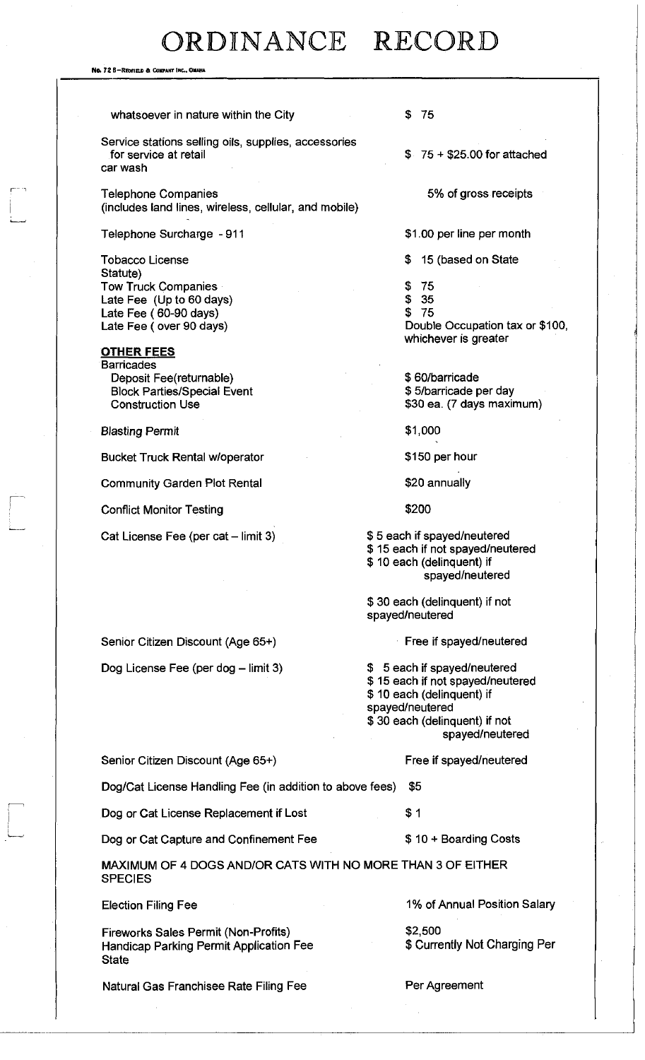No. 72 B-REDFIELD & COMPANY INC., O

#### whatsoever in nature within the City

Service stations selling oils, supplies, accessories for service at retail car wash

Telephone Companies (includes land lines, wireless, cellular, and mobile)

Telephone Surcharge - 911

Tobacco License Statute) Tow Truck Companies Late Fee (Up to 60 days) Late Fee (60-90 days) Late Fee (over 90 days)

#### **OTHER FEES**

**Barricades** Deposit Fee(returnable) Block Parties/Special Event Construction Use

Blasting Permit

Bucket Truck Rental w/operator

Community Garden Plot Rental

Conflict Monitor Testing

Cat License Fee (per cat  $-$  limit 3)

Senior Citizen Discount (Age 65+)

Dog License Fee (per dog  $-$  limit 3)

Senior Citizen Discount (Age 65+)

\$ 75

\$ 75 + \$25.00 for attached

5% of gross receipts

\$1.00 per line per month

\$ 15 (based on State

- \$ 75
- \$ 35
- \$ 75

Double Occupation tax or \$100, whichever is greater

\$ 60/barricade \$ 5/barricade per day \$30 ea. (7 days maximum)

\$1,000

\$150 per hour

\$20 annually

\$200

\$ 5 each if spayed/neutered \$ 15 each if not spayed/neutered \$ 10 each (delinquent) if spayed/neutered

\$ 30 each (delinquent) if not spayed/neutered

Free if spayed/neutered

\$ 5 each if spayed/neutered \$ 15 each if not spayed/neutered \$ 10 each (delinquent) if spayed/neutered \$ 30 each (delinquent) if not spayed/neutered

Free if spayed/neutered

Dog/Cat License Handling Fee (in addition to above fees) \$5

Dog or Cat License Replacement if Lost **\$1** 

Dog or Cat Capture and Confinement Fee  $$10 + Boarding Costs$ 

MAXIMUM OF 4 DOGS AND/OR CATS WITH NO MORE THAN 3 OF EITHER **SPECIES** 

Election Filing Fee

Fireworks Sales Permit (Non-Profits) Handicap Parking Permit Application Fee **State** 

1% of Annual Position Salary

\$2,500 \$ Currently Not Charging Per

Natural Gas Franchisee Rate Filing Fee Per Agreement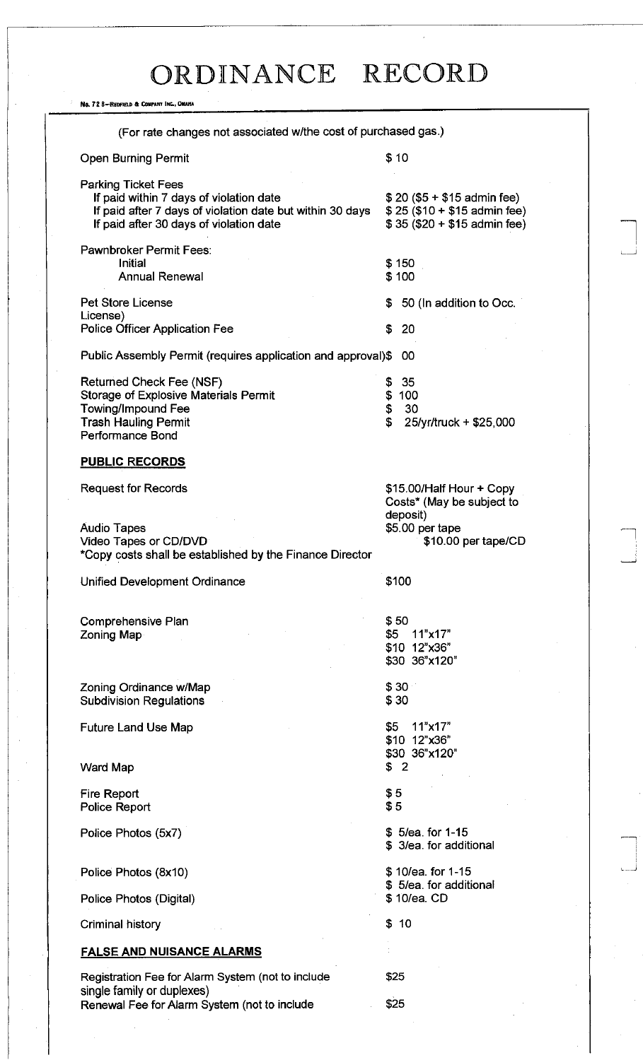NE. 72 6-RRONAD 6 COMPANY INC., OMAHA

| (For rate changes not associated w/the cost of purchased gas.)                                                                                                                |                                                                                              |
|-------------------------------------------------------------------------------------------------------------------------------------------------------------------------------|----------------------------------------------------------------------------------------------|
| <b>Open Burning Permit</b>                                                                                                                                                    | \$10                                                                                         |
| <b>Parking Ticket Fees</b><br>If paid within 7 days of violation date<br>If paid after 7 days of violation date but within 30 days<br>If paid after 30 days of violation date | $$20 ($5 + $15$)$ admin fee)<br>$$25 ($10 + $15$$ admin fee)<br>$$35 ($20 + $15$ admin fee)$ |
| <b>Pawnbroker Permit Fees:</b><br><b>Initial</b><br><b>Annual Renewal</b>                                                                                                     | \$150<br>\$100                                                                               |
| <b>Pet Store License</b><br>License)<br><b>Police Officer Application Fee</b>                                                                                                 | 50 (In addition to Occ.<br>\$<br>20<br>\$                                                    |
| Public Assembly Permit (requires application and approval)\$                                                                                                                  | <b>00</b>                                                                                    |
| <b>Returned Check Fee (NSF)</b><br>Storage of Explosive Materials Permit<br><b>Towing/Impound Fee</b><br><b>Trash Hauling Permit</b><br>Performance Bond                      | 35<br>\$<br>\$<br>100<br>30<br>\$<br>25/yr/truck + \$25,000                                  |
| <b>PUBLIC RECORDS</b>                                                                                                                                                         |                                                                                              |
| <b>Request for Records</b>                                                                                                                                                    | \$15.00/Half Hour + Copy<br>Costs* (May be subject to<br>deposit)                            |
| <b>Audio Tapes</b><br>Video Tapes or CD/DVD<br>*Copy costs shall be established by the Finance Director                                                                       | \$5.00 per tape<br>\$10.00 per tape/CD                                                       |
| <b>Unified Development Ordinance</b>                                                                                                                                          | \$100                                                                                        |
| <b>Comprehensive Plan</b><br>Zoning Map                                                                                                                                       | \$50<br>\$5<br>11"x17"<br>\$10 12"x36"<br>\$30 36"x120"                                      |
| Zoning Ordinance w/Map<br><b>Subdivision Regulations</b>                                                                                                                      | \$30 <sub>2</sub><br>\$30                                                                    |
| <b>Future Land Use Map</b>                                                                                                                                                    | \$5<br>11"x17"<br>$$10$ $12"$ x $36"$<br>\$30 36"x120"                                       |
| Ward Map                                                                                                                                                                      | \$2                                                                                          |
| Fire Report<br>Police Report                                                                                                                                                  | \$5<br>\$5                                                                                   |
| Police Photos (5x7)                                                                                                                                                           | \$5/ea. for 1-15<br>\$ 3/ea. for additional                                                  |
| Police Photos (8x10)                                                                                                                                                          | \$10/ea. for 1-15<br>\$5/ea. for additional                                                  |
| Police Photos (Digital)                                                                                                                                                       | \$10/ea. CD                                                                                  |
| Criminal history                                                                                                                                                              | \$10                                                                                         |
| <u>FALSE AND NUISANCE ALARMS</u>                                                                                                                                              |                                                                                              |
| Registration Fee for Alarm System (not to include<br>single family or duplexes)                                                                                               | \$25                                                                                         |
| Renewal Fee for Alarm System (not to include                                                                                                                                  | \$25                                                                                         |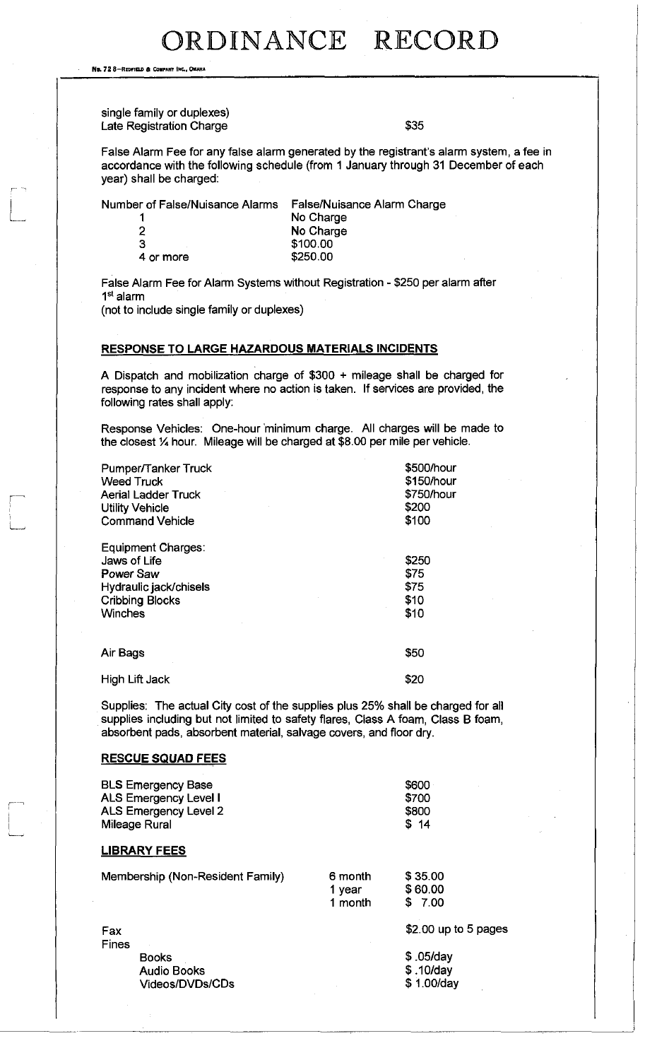No. 728-REDFIELD & COMPANY INC.

single family or duplexes) Late Registration Charge **\$35** 

False Alarm Fee for any false alarm generated by the registrant's alarm system, a fee in accordance with the following schedule (from 1 January through 31 December of each year) shall be charged:

Number of False/Nuisance Alarms False/Nuisance Alarm Charge

1 No Charge<br>2 No Charge 3 \$100.00 4 or more \$250.00

No Charge

False Alarm Fee for Alarm Systems without Registration - \$250 per alarm after 1<sup>st</sup> alarm

(not to include single family or duplexes)

### **RESPONSE TO LARGE HAZARDOUS MATERIALS INCIDENTS**

A Dispatch and mobilization charge of \$300 + mileage shall be charged for response to any incident where no action is taken. If services are provided, the following rates shall apply:

Response Vehicles: One-hour minimum charge. All charges will be made to the closest  $\frac{1}{4}$  hour. Mileage will be charged at \$8.00 per mile per vehicle.

| Pumper/Tanker Truck<br><b>Weed Truck</b><br><b>Aerial Ladder Truck</b><br><b>Utility Vehicle</b><br><b>Command Vehicle</b>   | \$500/hour<br>\$150/hour<br>\$750/hour<br>\$200<br>\$100 |
|------------------------------------------------------------------------------------------------------------------------------|----------------------------------------------------------|
| Equipment Charges:<br>Jaws of Life<br><b>Power Saw</b><br>Hydraulic jack/chisels<br><b>Cribbing Blocks</b><br><b>Winches</b> | \$250<br>\$75<br>\$75<br>\$10<br>\$10                    |
| Air Bags                                                                                                                     | \$50                                                     |
| High Lift Jack                                                                                                               | \$20                                                     |

Supplies: The actual City cost of the supplies plus 25% shall be charged for all supplies including but not limited to safety flares, Class A foam, Class B foam, absorbent pads, absorbent material, salvage covers, and floor dry.

#### **RESCUE SQUAD FEES**

Videos/DVDs/CDs

| <b>BLS Emergency Base</b><br><b>ALS Emergency Level I</b><br><b>ALS Emergency Level 2</b><br>Mileage Rural |                              | \$600<br>\$700<br>\$800<br>\$14 |
|------------------------------------------------------------------------------------------------------------|------------------------------|---------------------------------|
| <b>LIBRARY FEES</b>                                                                                        |                              |                                 |
| Membership (Non-Resident Family)                                                                           | 6 month<br>1 year<br>1 month | \$35.00<br>\$60.00<br>\$ 7.00   |
| Fax<br><b>Fines</b>                                                                                        |                              | $$2.00$ up to 5 pages           |
| <b>Books</b><br><b>Audio Books</b>                                                                         |                              | \$.05/day<br>$$.10$ /day        |

\$ 1.00/day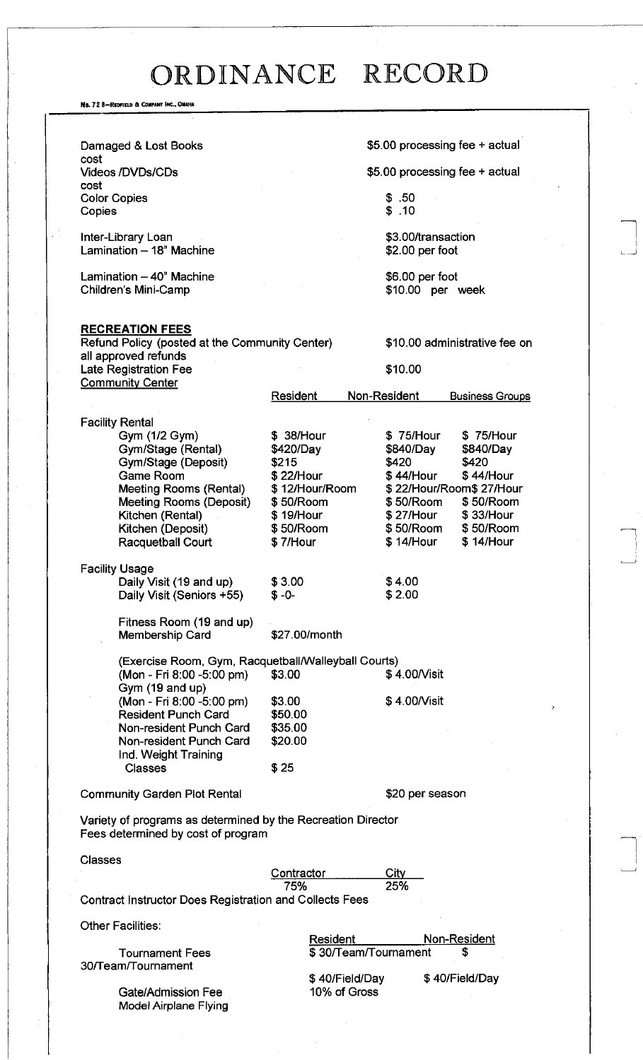**\_\_J** 

No. 72 8-REDFIELB 6 COWPANT inc., OMAHA

| Damaged & Lost Books                                                                                                                                                                                                                                                                                                                                                                                                                                                                                                                                                                                                                 | \$5.00 processing fee + actual                                                                                                                                                                                                                                                                                                                                                                                                                                                                                |
|--------------------------------------------------------------------------------------------------------------------------------------------------------------------------------------------------------------------------------------------------------------------------------------------------------------------------------------------------------------------------------------------------------------------------------------------------------------------------------------------------------------------------------------------------------------------------------------------------------------------------------------|---------------------------------------------------------------------------------------------------------------------------------------------------------------------------------------------------------------------------------------------------------------------------------------------------------------------------------------------------------------------------------------------------------------------------------------------------------------------------------------------------------------|
| cost<br><b>Videos /DVDs/CDs</b>                                                                                                                                                                                                                                                                                                                                                                                                                                                                                                                                                                                                      | \$5.00 processing fee + actual                                                                                                                                                                                                                                                                                                                                                                                                                                                                                |
| cost<br><b>Color Copies</b><br>Copies                                                                                                                                                                                                                                                                                                                                                                                                                                                                                                                                                                                                | \$.50<br>\$.10                                                                                                                                                                                                                                                                                                                                                                                                                                                                                                |
| Inter-Library Loan<br>Lamination - 18" Machine                                                                                                                                                                                                                                                                                                                                                                                                                                                                                                                                                                                       | \$3.00/transaction<br>$$2.00$ per foot                                                                                                                                                                                                                                                                                                                                                                                                                                                                        |
| Lamination - 40" Machine<br>Children's Mini-Camp                                                                                                                                                                                                                                                                                                                                                                                                                                                                                                                                                                                     | \$6.00 per foot<br>\$10.00 per week                                                                                                                                                                                                                                                                                                                                                                                                                                                                           |
| <b>RECREATION FEES</b><br>Refund Policy (posted at the Community Center)<br>all approved refunds<br><b>Late Registration Fee</b><br><b>Community Center</b>                                                                                                                                                                                                                                                                                                                                                                                                                                                                          | \$10.00 administrative fee on<br>\$10.00<br>Non-Resident<br>Resident<br><b>Business Groups</b>                                                                                                                                                                                                                                                                                                                                                                                                                |
| <b>Facility Rental</b><br>Gym (1/2 Gym)<br>Gym/Stage (Rental)<br>Gym/Stage (Deposit)<br><b>Game Room</b><br>Meeting Rooms (Rental)<br><b>Meeting Rooms (Deposit)</b><br>Kitchen (Rental)<br>Kitchen (Deposit)<br>Racquetball Court<br><b>Facility Usage</b><br>Daily Visit (19 and up)<br>Daily Visit (Seniors +55)<br>Fitness Room (19 and up)<br>Membership Card<br>(Exercise Room, Gym, Racquetball/Walleyball Courts)<br>(Mon - Fri 8:00 -5:00 pm)<br>Gym (19 and up)<br>(Mon - Fri 8:00 -5:00 pm)<br><b>Resident Punch Card</b><br>Non-resident Punch Card<br>Non-resident Punch Card<br>Ind. Weight Training<br><b>Classes</b> | \$ 38/Hour<br>\$75/Hour<br>\$75/Hour<br>\$840/Day<br>\$420/Day<br>\$840/Day<br>\$420<br>\$215<br>\$420<br>\$22/Hour<br>\$44/Hour<br>\$44/Hour<br>\$12/Hour/Room<br>\$22/Hour/Room\$27/Hour<br>\$50/Room<br>\$50/Room<br>\$50/Room<br>\$ 27/Hour<br>\$33/Hour<br>\$19/Hour<br>\$50/Room<br>\$50/Room<br>\$50/Room<br>\$14/Hour<br>\$14/Hour<br>\$7/Hour<br>\$4.00<br>\$3.00<br>\$2.00<br>$$ -0-$<br>\$27.00/month<br>\$4.00/Visit<br>\$3.00<br>\$4.00/Visit<br>\$3.00<br>\$50.00<br>\$35.00<br>\$20.00<br>\$25 |
| <b>Community Garden Plot Rental</b>                                                                                                                                                                                                                                                                                                                                                                                                                                                                                                                                                                                                  | \$20 per season                                                                                                                                                                                                                                                                                                                                                                                                                                                                                               |
| Variety of programs as determined by the Recreation Director<br>Fees determined by cost of program                                                                                                                                                                                                                                                                                                                                                                                                                                                                                                                                   |                                                                                                                                                                                                                                                                                                                                                                                                                                                                                                               |
| <b>Classes</b>                                                                                                                                                                                                                                                                                                                                                                                                                                                                                                                                                                                                                       | Contractor<br><b>City</b>                                                                                                                                                                                                                                                                                                                                                                                                                                                                                     |
| <b>Contract Instructor Does Registration and Collects Fees</b>                                                                                                                                                                                                                                                                                                                                                                                                                                                                                                                                                                       | 25%<br>75%                                                                                                                                                                                                                                                                                                                                                                                                                                                                                                    |
| <b>Other Facilities:</b>                                                                                                                                                                                                                                                                                                                                                                                                                                                                                                                                                                                                             |                                                                                                                                                                                                                                                                                                                                                                                                                                                                                                               |
| <b>Tournament Fees</b><br>30/Team/Tournament<br>Gate/Admission Fee<br><b>Model Airplane Flying</b>                                                                                                                                                                                                                                                                                                                                                                                                                                                                                                                                   | Resident<br>Non-Resident<br>\$30/Team/Tournament<br>\$<br>\$40/Field/Day<br>\$40/Field/Day<br>10% of Gross                                                                                                                                                                                                                                                                                                                                                                                                    |
|                                                                                                                                                                                                                                                                                                                                                                                                                                                                                                                                                                                                                                      |                                                                                                                                                                                                                                                                                                                                                                                                                                                                                                               |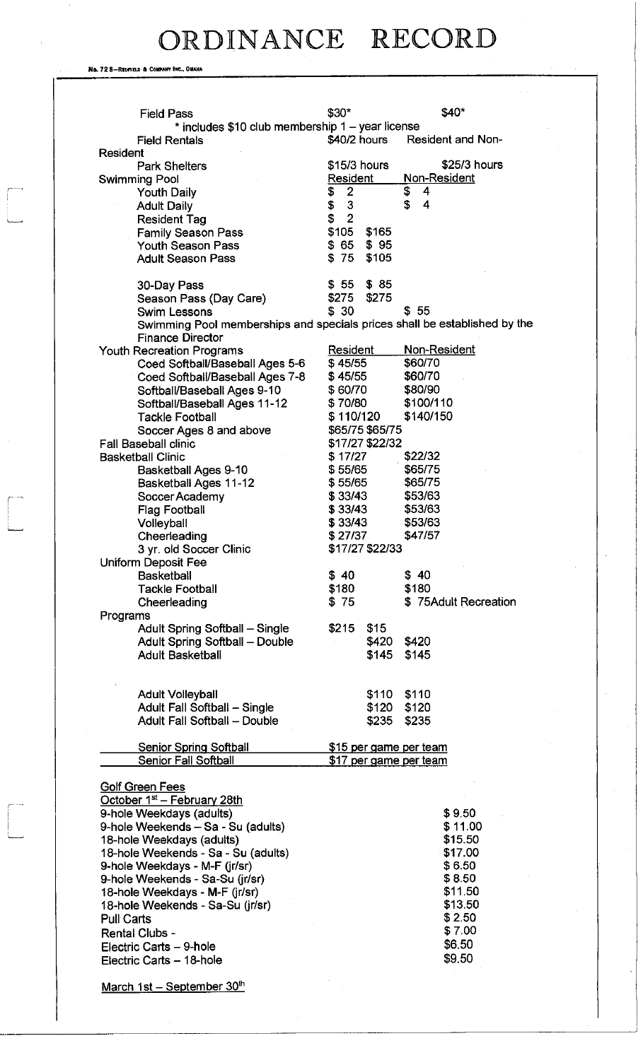No. 72 8-REOFIELD & COMPANY INC., OMAHA

| <b>Field Pass</b>                                                | \$40*<br>\$30*                                                            |
|------------------------------------------------------------------|---------------------------------------------------------------------------|
| * includes \$10 club membership 1 - year license                 | Resident and Non-<br>\$40/2 hours                                         |
| <b>Field Rentals</b><br><b>Resident</b>                          |                                                                           |
| <b>Park Shelters</b>                                             | \$25/3 hours<br>\$15/3 hours                                              |
| <b>Swimming Pool</b><br><b>Youth Daily</b>                       | Non-Resident<br><b>Resident</b><br>\$<br>4                                |
| <b>Adult Daily</b>                                               | $\frac{2}{3}$<br>\$<br>\$<br>\$<br>\$<br>$\overline{\mathbf{4}}$          |
| <b>Resident Tag</b>                                              | $\overline{2}$                                                            |
| <b>Family Season Pass</b><br><b>Youth Season Pass</b>            | \$105 \$165<br>\$65<br>\$95                                               |
| <b>Adult Season Pass</b>                                         | \$75<br>\$105                                                             |
|                                                                  |                                                                           |
| 30-Day Pass<br>Season Pass (Day Care)                            | $$55$ $$85$<br>\$275<br>\$275                                             |
| <b>Swim Lessons</b>                                              | \$30<br>\$55                                                              |
|                                                                  | Swimming Pool memberships and specials prices shall be established by the |
| <b>Finance Director</b><br><b>Youth Recreation Programs</b>      | Non-Resident<br><b>Resident</b>                                           |
| Coed Softball/Baseball Ages 5-6                                  | \$45/55<br>\$60/70                                                        |
| Coed Softball/Baseball Ages 7-8                                  | \$60/70<br>\$45/55                                                        |
| Softball/Baseball Ages 9-10                                      | \$80/90<br>\$60/70                                                        |
| Softball/Baseball Ages 11-12<br><b>Tackle Football</b>           | \$70/80<br>\$100/110<br>\$110/120<br>\$140/150                            |
| Soccer Ages 8 and above                                          | \$65/75 \$65/75                                                           |
| <b>Fall Baseball clinic</b>                                      | \$17/27 \$22/32                                                           |
| <b>Basketball Clinic</b>                                         | \$17/27<br>\$22/32                                                        |
| <b>Basketball Ages 9-10</b>                                      | \$55/65<br>\$65/75                                                        |
| <b>Basketball Ages 11-12</b><br>Soccer Academy                   | \$55/65<br>\$65/75<br>\$33/43<br>\$53/63                                  |
| <b>Flag Football</b>                                             | \$33/43<br>\$53/63                                                        |
| Volleyball                                                       | \$33/43<br>\$53/63                                                        |
| Cheerleading                                                     | \$27/37<br>\$47/57                                                        |
| 3 yr. old Soccer Clinic<br><b>Uniform Deposit Fee</b>            | \$17/27 \$22/33                                                           |
| <b>Basketball</b>                                                | \$40<br>\$40                                                              |
| <b>Tackle Football</b>                                           | \$180<br>\$180                                                            |
| Cheerleading                                                     | \$75<br>\$75Adult Recreation                                              |
| Programs<br>Adult Spring Softball - Single                       | \$215<br>\$15                                                             |
| <b>Adult Spring Softball - Double</b>                            | \$420<br>\$420                                                            |
| <b>Adult Basketball</b>                                          | \$145<br>\$145                                                            |
|                                                                  |                                                                           |
| <b>Adult Volleyball</b>                                          | \$110<br>\$110                                                            |
| Adult Fall Softball - Single                                     | \$120<br>\$120                                                            |
| <b>Adult Fall Softball - Double</b>                              | \$235<br>\$235                                                            |
| <b>Senior Spring Softball</b>                                    | \$15 per game per team                                                    |
| <b>Senior Fall Softball</b>                                      | \$17 per game per team                                                    |
| <b>Golf Green Fees</b>                                           |                                                                           |
| October 1 <sup>st</sup> - February 28th                          |                                                                           |
| 9-hole Weekdays (adults)                                         | \$9.50                                                                    |
| 9-hole Weekends - Sa - Su (adults)                               | \$11.00                                                                   |
| 18-hole Weekdays (adults)<br>18-hole Weekends - Sa - Su (adults) | \$15.50<br>\$17.00                                                        |
| 9-hole Weekdays - M-F (jr/sr)                                    | \$6.50                                                                    |
| 9-hole Weekends - Sa-Su (jr/sr)                                  | \$8.50                                                                    |
| 18-hole Weekdays - M-F (jr/sr)                                   | \$11.50                                                                   |
| 18-hole Weekends - Sa-Su (jr/sr)<br><b>Pull Carts</b>            | \$13.50<br>\$2.50                                                         |
| <b>Rental Clubs -</b>                                            | \$7.00                                                                    |
| Electric Carts - 9-hole                                          | \$6.50                                                                    |
| Electric Carts - 18-hole                                         | \$9.50                                                                    |
| March 1st - September 30th                                       |                                                                           |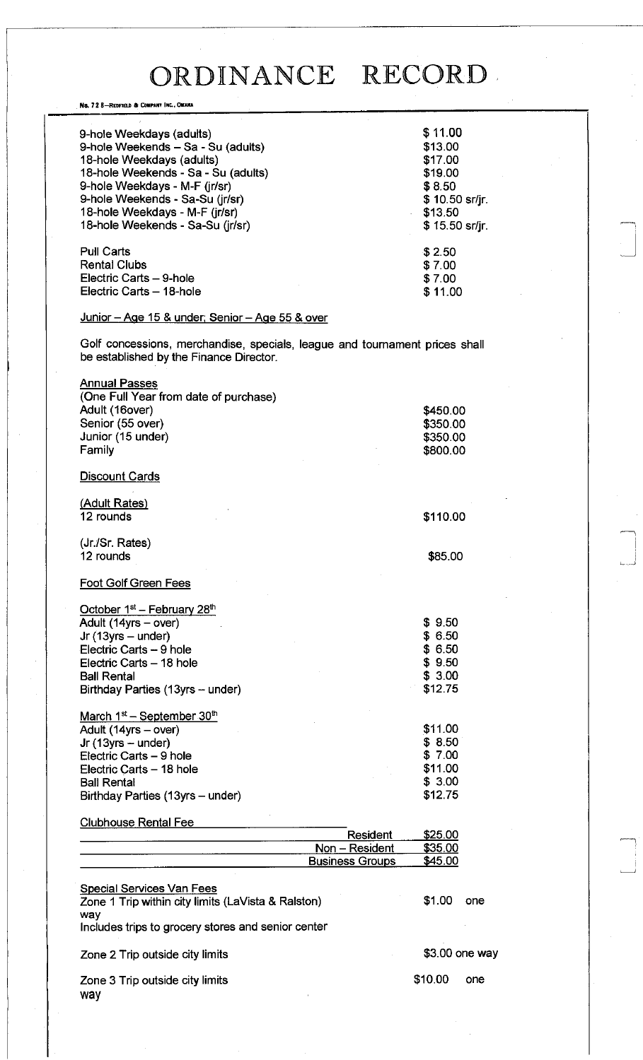No, 72 8-REDTIELL 6 COMPART INC.. OMAHA

| 9-hole Weekdays (adults)            | \$11.00         |
|-------------------------------------|-----------------|
| 9-hole Weekends - Sa - Su (adults)  | \$13.00         |
| 18-hole Weekdays (adults)           | \$17.00         |
| 18-hole Weekends - Sa - Su (adults) | \$19.00         |
| 9-hole Weekdays - M-F (jr/sr)       | \$8.50          |
| 9-hole Weekends - Sa-Su (jr/sr)     | \$10.50 sr/jr.  |
| 18-hole Weekdays - M-F (jr/sr)      | \$13.50         |
| 18-hole Weekends - Sa-Su (jr/sr)    | $$15.50$ sr/jr. |
| <b>Pull Carts</b>                   | \$2.50          |
| <b>Rental Clubs</b>                 | \$7.00          |
| Electric Carts - 9-hole             | \$7.00          |
| Electric Carts - 18-hole            | \$11.00         |
|                                     |                 |

#### Junior - Age 15 & under; Senior - Age 55 & over

Golf concessions, merchandise, specials, league and tournament prices shall be established by the Finance Director.

| <b>Annual Passes</b><br>(One Full Year from date of purchase) |                |  |
|---------------------------------------------------------------|----------------|--|
| Adult (16over)                                                | \$450.00       |  |
| Senior (55 over)                                              | \$350.00       |  |
| Junior (15 under)                                             | \$350.00       |  |
| Family                                                        | \$800.00       |  |
|                                                               |                |  |
| Discount Cards                                                |                |  |
| <u>(Adult Rates)</u>                                          |                |  |
| 12 rounds                                                     | \$110.00       |  |
|                                                               |                |  |
| (Jr./Sr. Rates)                                               |                |  |
| 12 rounds                                                     | \$85.00        |  |
|                                                               |                |  |
| Foot Golf Green Fees                                          |                |  |
| October 1 <sup>st</sup> - February 28 <sup>th</sup>           |                |  |
| Adult (14yrs - over)                                          | \$9.50         |  |
| Jr $(13yrs - under)$                                          | \$6.50         |  |
| Electric Carts - 9 hole                                       | \$6.50         |  |
| Electric Carts - 18 hole                                      | \$9.50         |  |
| <b>Ball Rental</b>                                            | \$3.00         |  |
| Birthday Parties (13yrs - under)                              | \$12.75        |  |
|                                                               |                |  |
| March 1 <sup>st</sup> – September 30 <sup>th</sup>            |                |  |
| Adult (14yrs - over)                                          | \$11.00        |  |
| Jr $(13yrs - under)$                                          | \$8.50         |  |
| Electric Carts - 9 hole                                       | \$7.00         |  |
| Electric Carts - 18 hole                                      | \$11.00        |  |
| <b>Ball Rental</b>                                            | \$3.00         |  |
| Birthday Parties (13yrs - under)                              | \$12.75        |  |
| <b>Clubhouse Rental Fee</b>                                   |                |  |
| <b>Resident</b>                                               | <u>\$25.00</u> |  |
| Non - Resident                                                | \$35.00        |  |
| <b>Business Groups</b>                                        | <u>\$45.00</u> |  |
|                                                               |                |  |
| <b>Special Services Van Fees</b>                              |                |  |
| Zone 1 Trip within city limits (LaVista & Ralston)            | \$1.00<br>one  |  |
| way                                                           |                |  |
| Includes trips to grocery stores and senior center            |                |  |
| Zone 2 Trip outside city limits                               | \$3.00 one way |  |
|                                                               |                |  |

Zone 3 Trip outside city limits way

\$10.00 one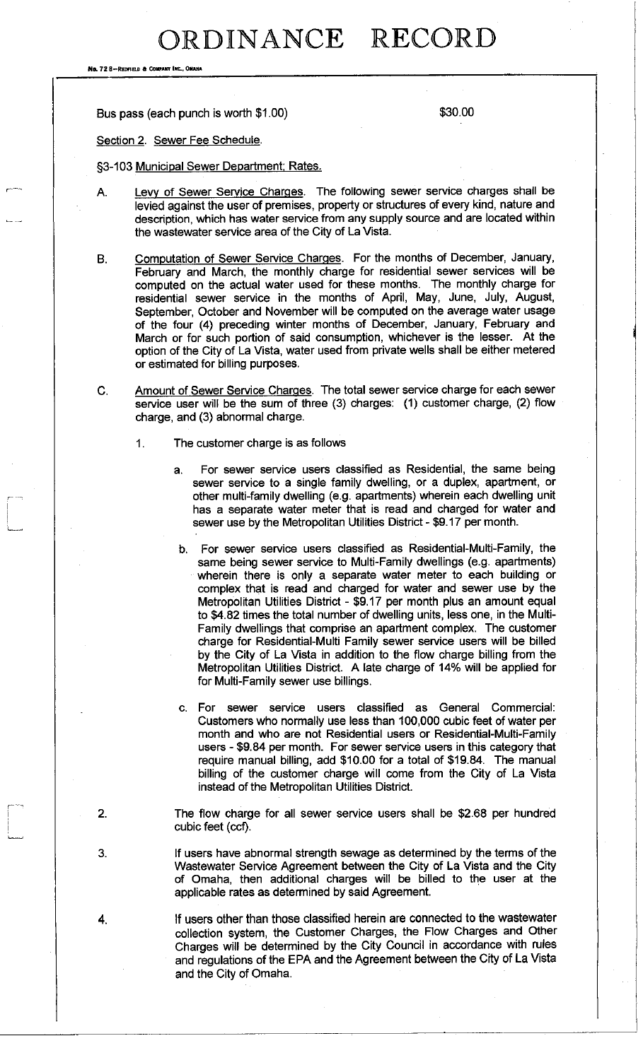No. 72 8-REDFIELD & COMPANY INC.

Bus pass (each punch is worth \$1.00) \$30.00

#### Section 2. Sewer Fee Schedule.

§3-103 Municipal Sewer Department; Rates.

- Levy of Sewer Service Charges. The following sewer service charges shall be Α. levied against the user of premises, property or structures of every kind, nature and description, which has water service from any supply source and are located within the wastewater service area of the City of La Vista.
- B. Computation of Sewer Service Charges. For the months of December, January, February and March, the monthly charge for residential sewer services will be computed on the actual water used for these months. The monthly charge for residential sewer service in the months of April, May, June, July, August, September, October and November will be computed on the average water usage of the four (4) preceding winter months of December, January, February and March or for such portion of said consumption, whichever is the lesser. At the option of the City of La Vista, water used from private wells shall be either metered or estimated for billing purposes.
- C. Amount of Sewer Service Charges. The total sewer service charge for each sewer service user will be the sum of three (3) charges: (1) customer charge, (2) flow charge, and (3) abnormal charge.
	- 1. The customer charge is as follows
		- a. For sewer service users classified as Residential, the same being sewer service to a single family dwelling, or a duplex, apartment, or other multi-family dwelling (e.g. apartments) wherein each dwelling unit has a separate water meter that is read and charged for water and sewer use by the Metropolitan Utilities District - \$9.17 per month.
			- b. For sewer service users classified as Residential-Multi-Family, the same being sewer service to Multi-Family dwellings (e.g. apartments) wherein there is only a separate water meter to each building or complex that is read and charged for water and sewer use by the Metropolitan Utilities District - \$9.17 per month plus an amount equal to \$4.82 times the total number of dwelling units, less one, in the Multi-Family dwellings that comprise an apartment complex. The customer charge for Residential-Multi Family sewer service users will be billed by the City of La Vista in addition to the flow charge billing from the Metropolitan Utilities District. A late charge of 14% will be applied for for Multi-Family sewer use billings.
			- c. For sewer service users classified as General Commercial: Customers who normally use less than 100,000 cubic feet of water per month and who are not Residential users or Residential-Multi-Family users - \$9.84 per month. For sewer service users in this category that require manual billing, add \$10.00 for a total of \$19.84. The manual billing of the customer charge will come from the City of La Vista instead of the Metropolitan Utilities District.
- 2. The flow charge for all sewer service users shall be \$2.68 per hundred cubic feet (ccf).

3. If users have abnormal strength sewage as determined by the terms of the Wastewater Service Agreement between the City of La Vista and the City of Omaha, then additional charges will be billed to the user at the applicable rates as determined by said Agreement.

4. If users other than those classified herein are connected to the wastewater collection system, the Customer Charges, the Flow Charges and Other Charges will be determined by the City Council in accordance with rules and regulations of the EPA and the Agreement between the City of La Vista and the City of Omaha.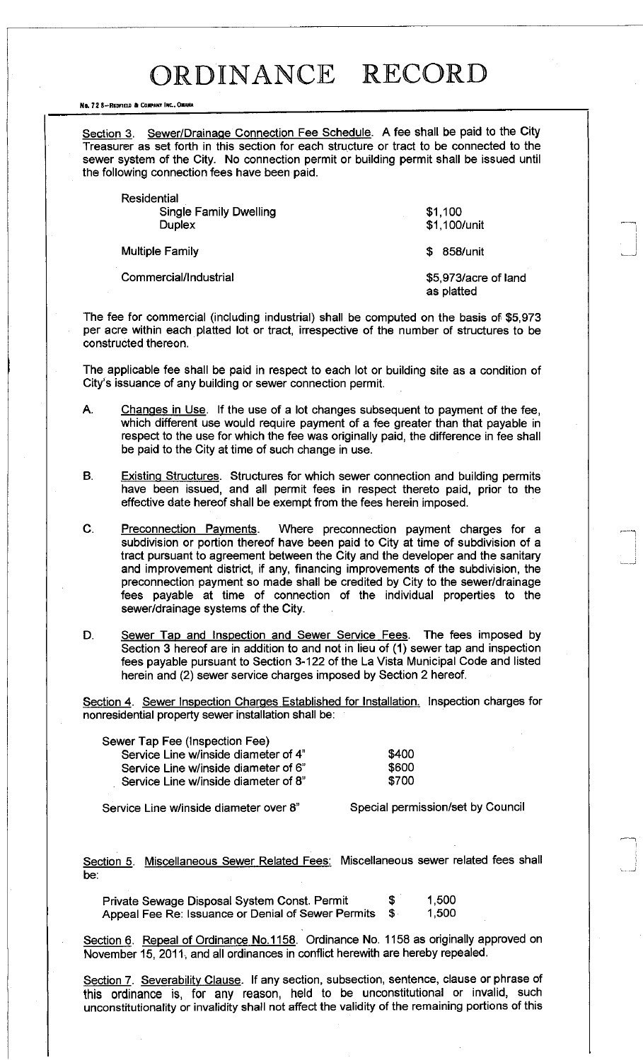#### No. 72 8-REDFIELD & COMPART INC., OMAHA

Section 3. Sewer/Drainage Connection Fee Schedule. A fee shall be paid to the City Treasurer as set forth in this section for each structure or tract to be connected to the sewer system of the City. No connection permit or building permit shall be issued until the following connection fees have been paid.

| Residential                   |                                    |
|-------------------------------|------------------------------------|
| <b>Single Family Dwelling</b> | \$1,100                            |
| <b>Duplex</b>                 | \$1,100/unit                       |
| <b>Multiple Family</b>        | 858/unit<br>S                      |
| Commercial/Industrial         | \$5,973/acre of land<br>as platted |
|                               |                                    |

The fee for commercial (including industrial) shall be computed on the basis of \$5,973 per acre within each platted lot or tract, irrespective of the number of structures to be constructed thereon.

The applicable fee shall be paid in respect to each lot or building site as a condition of City's issuance of any building or sewer connection permit.

- A. Changes in Use. If the use of a lot changes subsequent to payment of the fee, which different use would require payment of a fee greater than that payable in respect to the use for which the fee was originally paid, the difference in fee shall be paid to the City at time of such change in use.
- B. Existing Structures. Structures for which sewer connection and building permits have been issued, and all permit fees in respect thereto paid, prior to the effective date hereof shall be exempt from the fees herein imposed.
- C. Preconnection Payments. Where preconnection payment charges for a subdivision or portion thereof have been paid to City at time of subdivision of a tract pursuant to agreement between the City and the developer and the sanitary and improvement district, if any, financing improvements of the subdivision, the preconnection payment so made shall be credited by City to the sewer/drainage fees payable at time of connection of the individual properties to the sewer/drainage systems of the City.
- D. Sewer Tap and Inspection and Sewer Service Fees. The fees imposed by Section 3 hereof are in addition to and not in lieu of (1) sewer tap and inspection fees payable pursuant to Section 3-122 of the La Vista Municipal Code and listed herein and (2) sewer service charges imposed by Section 2 hereof.

Section 4. Sewer Inspection Charges Established for Installation. Inspection charges for nonresidential property sewer installation shall be:

| \$400 |
|-------|
| \$600 |
| \$700 |
|       |

Service Line w/inside diameter over 8" Special permission/set by Council

Section 5. Miscellaneous Sewer Related Fees: Miscellaneous sewer related fees shall be:

Private Sewage Disposal System Const. Permit  $$$  \$ 1,500<br>Appeal Fee Re: Issuance or Denial of Sewer Permits \$ 1,500 Appeal Fee Re: Issuance or Denial of Sewer Permits \$

Section 6. Repeal of Ordinance No. 1158. Ordinance No. 1158 as originally approved on November 15, 2011, and all ordinances in conflict herewith are hereby repealed.

Section 7. Severability Clause. If any section, subsection, sentence, clause or phrase of this ordinance is, for any reason, held to be unconstitutional or invalid, such unconstitutionality or invalidity shall not affect the validity of the remaining portions of this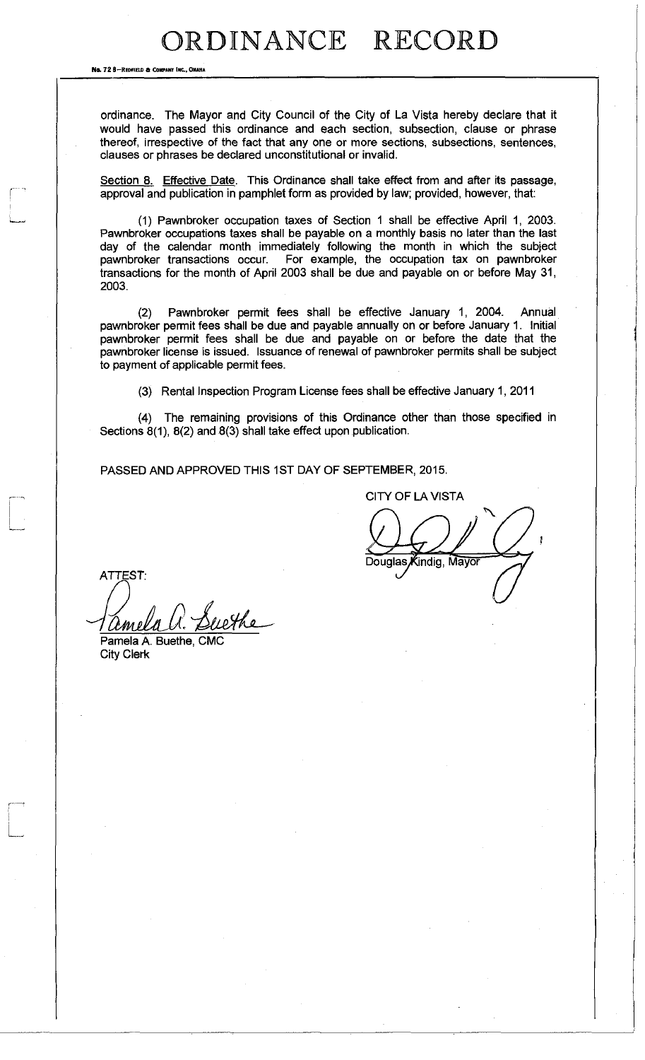No. 72 8-REDFIELD & COMP

!

ordinance. The Mayor and City Council of the City of La Vista hereby declare that it would have passed this ordinance and each section, subsection, clause or phrase thereof, irrespective of the fact that any one or more sections, subsections, sentences, clauses or phrases be declared unconstitutional or invalid.

Section 8. Effective Date. This Ordinance shall take effect from and after its passage, approval and publication in pamphlet form as provided by law; provided, however, that:

(1) Pawnbroker occupation taxes of Section 1 shall be effective April 1, 2003. Pawnbroker occupations taxes shall be payable on a monthly basis no later than the last day of the calendar month immediately following the month in which the subject pawnbroker transactions occur. For example, the occupation tax on pawnbroker transactions for the month of April 2003 shall be due and payable on or before May 31, 2003.

(2) Pawnbroker permit fees shall be effective January 1, 2004. Annual pawnbroker permit fees shall be due and payable annually on or before January 1. Initial pawnbroker permit fees shall be due and payable on or before the date that the pawnbroker license is issued. Issuance of renewal of pawnbroker permits shall be subject to payment of applicable permit fees.

(3) Rental Inspection Program License fees shall be effective January 1, 2011

(4) The remaining provisions of this Ordinance other than those specified in Sections 8(1), 8(2) and 8(3) shall take effect upon publication.

PASSED AND APPROVED THIS 1ST DAY OF SEPTEMBER, 2015.

CITY OF LA VISTA

Douglas *i*.<br>Kindig, Mayor

ATTEST:

rethe *CtAvaitL-O.* 

Pamela A. Buethe, CM City Clerk